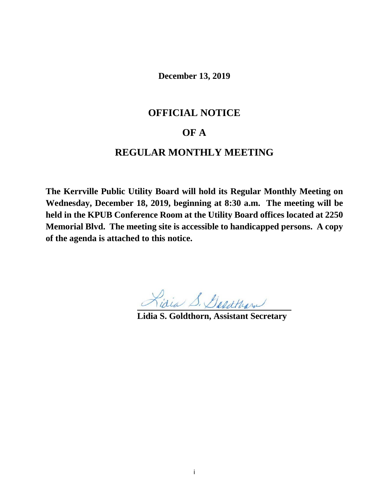**December 13, 2019**

# **OFFICIAL NOTICE**

# **OF A**

# **REGULAR MONTHLY MEETING**

**The Kerrville Public Utility Board will hold its Regular Monthly Meeting on Wednesday, December 18, 2019, beginning at 8:30 a.m. The meeting will be held in the KPUB Conference Room at the Utility Board offices located at 2250 Memorial Blvd. The meeting site is accessible to handicapped persons. A copy of the agenda is attached to this notice.**

**Lidia S. Goldthorn, Assistant Secretary**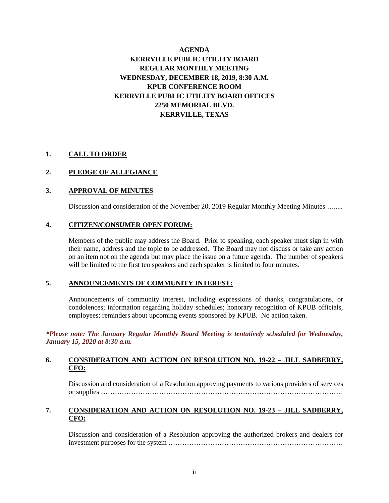# **AGENDA KERRVILLE PUBLIC UTILITY BOARD REGULAR MONTHLY MEETING WEDNESDAY, DECEMBER 18, 2019, 8:30 A.M. KPUB CONFERENCE ROOM KERRVILLE PUBLIC UTILITY BOARD OFFICES 2250 MEMORIAL BLVD. KERRVILLE, TEXAS**

# **1. CALL TO ORDER**

### **2. PLEDGE OF ALLEGIANCE**

### **3. APPROVAL OF MINUTES**

Discussion and consideration of the November 20, 2019 Regular Monthly Meeting Minutes ….....

#### **4. CITIZEN/CONSUMER OPEN FORUM:**

Members of the public may address the Board. Prior to speaking, each speaker must sign in with their name, address and the topic to be addressed. The Board may not discuss or take any action on an item not on the agenda but may place the issue on a future agenda. The number of speakers will be limited to the first ten speakers and each speaker is limited to four minutes.

#### **5. ANNOUNCEMENTS OF COMMUNITY INTEREST:**

Announcements of community interest, including expressions of thanks, congratulations, or condolences; information regarding holiday schedules; honorary recognition of KPUB officials, employees; reminders about upcoming events sponsored by KPUB. No action taken.

*\*Please note: The January Regular Monthly Board Meeting is tentatively scheduled for Wednesday, January 15, 2020 at 8:30 a.m.*

#### **6. CONSIDERATION AND ACTION ON RESOLUTION NO. 19-22 – JILL SADBERRY, CFO:**

Discussion and consideration of a Resolution approving payments to various providers of services or supplies …………………………………………………………………………………………..

# **7. CONSIDERATION AND ACTION ON RESOLUTION NO. 19-23 – JILL SADBERRY, CFO:**

Discussion and consideration of a Resolution approving the authorized brokers and dealers for investment purposes for the system …………………………………………………………………